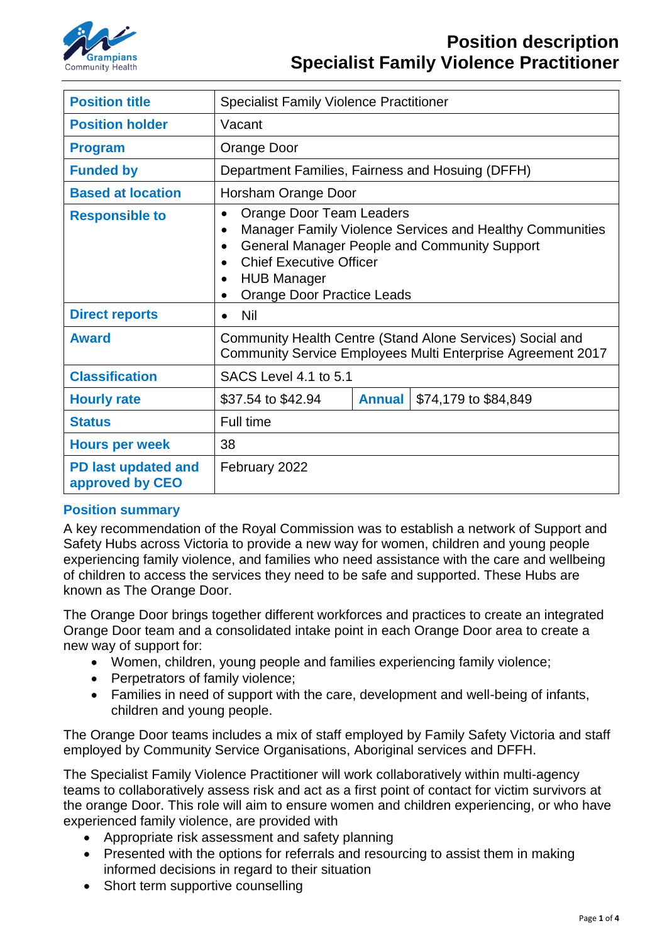

| <b>Position title</b>                  | <b>Specialist Family Violence Practitioner</b>                                                                                                                                                                                                                                                            |               |                      |
|----------------------------------------|-----------------------------------------------------------------------------------------------------------------------------------------------------------------------------------------------------------------------------------------------------------------------------------------------------------|---------------|----------------------|
| <b>Position holder</b>                 | Vacant                                                                                                                                                                                                                                                                                                    |               |                      |
| <b>Program</b>                         | Orange Door                                                                                                                                                                                                                                                                                               |               |                      |
| <b>Funded by</b>                       | Department Families, Fairness and Hosuing (DFFH)                                                                                                                                                                                                                                                          |               |                      |
| <b>Based at location</b>               | Horsham Orange Door                                                                                                                                                                                                                                                                                       |               |                      |
| <b>Responsible to</b>                  | Orange Door Team Leaders<br>$\bullet$<br>Manager Family Violence Services and Healthy Communities<br>$\bullet$<br><b>General Manager People and Community Support</b><br>$\bullet$<br><b>Chief Executive Officer</b><br>$\bullet$<br><b>HUB Manager</b><br>$\bullet$<br><b>Orange Door Practice Leads</b> |               |                      |
| <b>Direct reports</b>                  | <b>Nil</b><br>$\bullet$                                                                                                                                                                                                                                                                                   |               |                      |
| <b>Award</b>                           | Community Health Centre (Stand Alone Services) Social and<br>Community Service Employees Multi Enterprise Agreement 2017                                                                                                                                                                                  |               |                      |
| <b>Classification</b>                  | SACS Level 4.1 to 5.1                                                                                                                                                                                                                                                                                     |               |                      |
| <b>Hourly rate</b>                     | \$37.54 to \$42.94                                                                                                                                                                                                                                                                                        | <b>Annual</b> | \$74,179 to \$84,849 |
| <b>Status</b>                          | Full time                                                                                                                                                                                                                                                                                                 |               |                      |
| <b>Hours per week</b>                  | 38                                                                                                                                                                                                                                                                                                        |               |                      |
| PD last updated and<br>approved by CEO | February 2022                                                                                                                                                                                                                                                                                             |               |                      |

### **Position summary**

A key recommendation of the Royal Commission was to establish a network of Support and Safety Hubs across Victoria to provide a new way for women, children and young people experiencing family violence, and families who need assistance with the care and wellbeing of children to access the services they need to be safe and supported. These Hubs are known as The Orange Door.

The Orange Door brings together different workforces and practices to create an integrated Orange Door team and a consolidated intake point in each Orange Door area to create a new way of support for:

- Women, children, young people and families experiencing family violence;
- Perpetrators of family violence;
- Families in need of support with the care, development and well-being of infants, children and young people.

The Orange Door teams includes a mix of staff employed by Family Safety Victoria and staff employed by Community Service Organisations, Aboriginal services and DFFH.

The Specialist Family Violence Practitioner will work collaboratively within multi-agency teams to collaboratively assess risk and act as a first point of contact for victim survivors at the orange Door. This role will aim to ensure women and children experiencing, or who have experienced family violence, are provided with

- Appropriate risk assessment and safety planning
- Presented with the options for referrals and resourcing to assist them in making informed decisions in regard to their situation
- Short term supportive counselling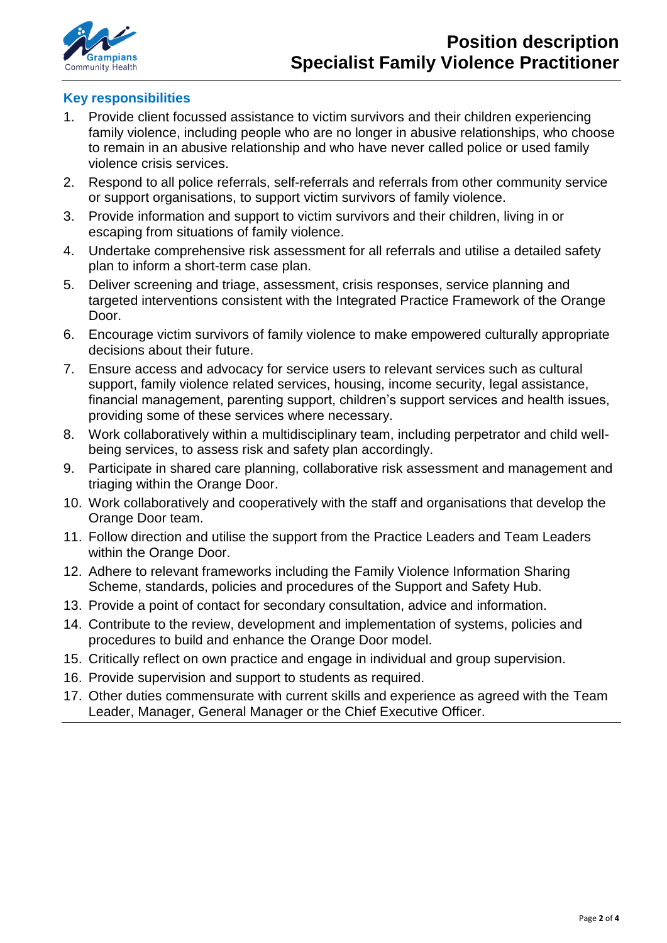

### **Key responsibilities**

- 1. Provide client focussed assistance to victim survivors and their children experiencing family violence, including people who are no longer in abusive relationships, who choose to remain in an abusive relationship and who have never called police or used family violence crisis services.
- 2. Respond to all police referrals, self-referrals and referrals from other community service or support organisations, to support victim survivors of family violence.
- 3. Provide information and support to victim survivors and their children, living in or escaping from situations of family violence.
- 4. Undertake comprehensive risk assessment for all referrals and utilise a detailed safety plan to inform a short-term case plan.
- 5. Deliver screening and triage, assessment, crisis responses, service planning and targeted interventions consistent with the Integrated Practice Framework of the Orange Door.
- 6. Encourage victim survivors of family violence to make empowered culturally appropriate decisions about their future.
- 7. Ensure access and advocacy for service users to relevant services such as cultural support, family violence related services, housing, income security, legal assistance, financial management, parenting support, children's support services and health issues, providing some of these services where necessary.
- 8. Work collaboratively within a multidisciplinary team, including perpetrator and child wellbeing services, to assess risk and safety plan accordingly.
- 9. Participate in shared care planning, collaborative risk assessment and management and triaging within the Orange Door.
- 10. Work collaboratively and cooperatively with the staff and organisations that develop the Orange Door team.
- 11. Follow direction and utilise the support from the Practice Leaders and Team Leaders within the Orange Door.
- 12. Adhere to relevant frameworks including the Family Violence Information Sharing Scheme, standards, policies and procedures of the Support and Safety Hub.
- 13. Provide a point of contact for secondary consultation, advice and information.
- 14. Contribute to the review, development and implementation of systems, policies and procedures to build and enhance the Orange Door model.
- 15. Critically reflect on own practice and engage in individual and group supervision.
- 16. Provide supervision and support to students as required.
- 17. Other duties commensurate with current skills and experience as agreed with the Team Leader, Manager, General Manager or the Chief Executive Officer.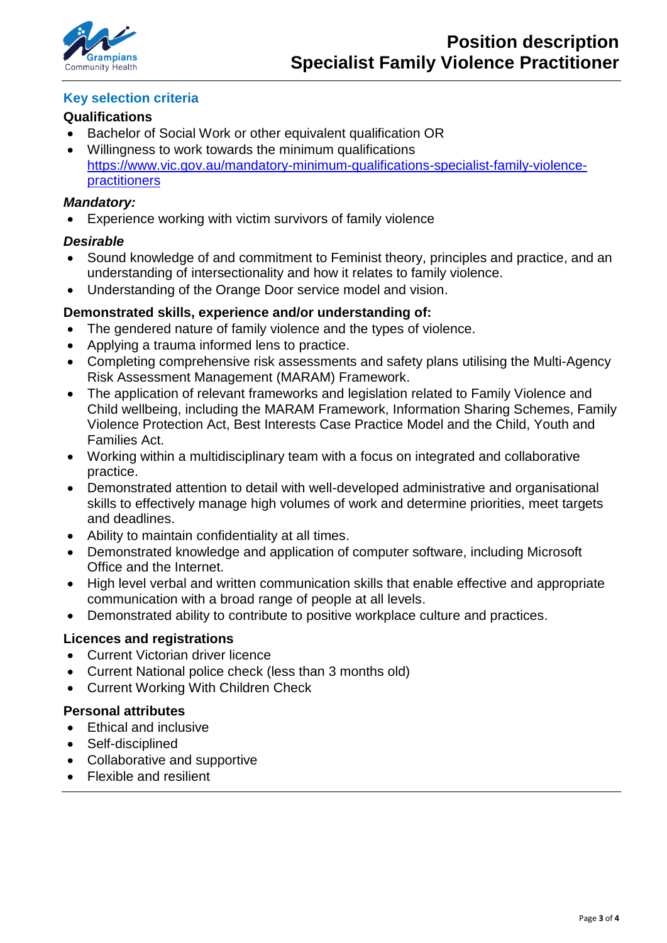

## **Key selection criteria**

## **Qualifications**

- Bachelor of Social Work or other equivalent qualification OR
- Willingness to work towards the minimum qualifications [https://www.vic.gov.au/mandatory-minimum-qualifications-specialist-family-violence](https://www.vic.gov.au/mandatory-minimum-qualifications-specialist-family-violence-practitioners)[practitioners](https://www.vic.gov.au/mandatory-minimum-qualifications-specialist-family-violence-practitioners)

### *Mandatory:*

• Experience working with victim survivors of family violence

## *Desirable*

- Sound knowledge of and commitment to Feminist theory, principles and practice, and an understanding of intersectionality and how it relates to family violence.
- Understanding of the Orange Door service model and vision.

# **Demonstrated skills, experience and/or understanding of:**

- The gendered nature of family violence and the types of violence.
- Applying a trauma informed lens to practice.
- Completing comprehensive risk assessments and safety plans utilising the Multi-Agency Risk Assessment Management (MARAM) Framework.
- The application of relevant frameworks and legislation related to Family Violence and Child wellbeing, including the MARAM Framework, Information Sharing Schemes, Family Violence Protection Act, Best Interests Case Practice Model and the Child, Youth and Families Act.
- Working within a multidisciplinary team with a focus on integrated and collaborative practice.
- Demonstrated attention to detail with well-developed administrative and organisational skills to effectively manage high volumes of work and determine priorities, meet targets and deadlines.
- Ability to maintain confidentiality at all times.
- Demonstrated knowledge and application of computer software, including Microsoft Office and the Internet.
- High level verbal and written communication skills that enable effective and appropriate communication with a broad range of people at all levels.
- Demonstrated ability to contribute to positive workplace culture and practices.

### **Licences and registrations**

- Current Victorian driver licence
- Current National police check (less than 3 months old)
- Current Working With Children Check

### **Personal attributes**

- Ethical and inclusive
- Self-disciplined
- Collaborative and supportive
- Flexible and resilient